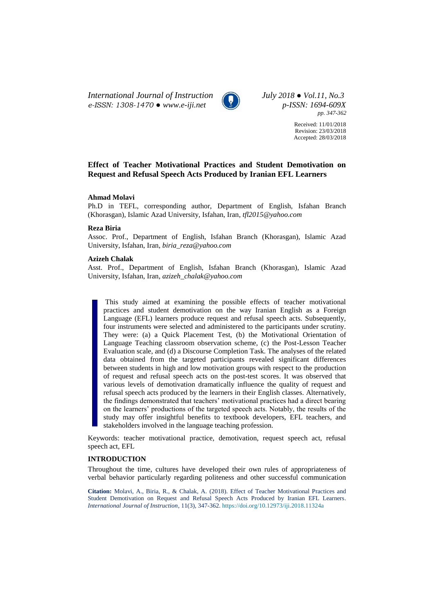*International Journal of Instruction July 2018 ● Vol.11, No.3 e-ISSN: 1308-1470 ● [www.e-iji.net](http://www.e-iji.net/) p-ISSN: 1694-609X*



*pp. 347-362*

Received: 11/01/2018 Revision: 23/03/2018 Accepted: 28/03/2018

# **Effect of Teacher Motivational Practices and Student Demotivation on Request and Refusal Speech Acts Produced by Iranian EFL Learners**

# **Ahmad Molavi**

Ph.D in TEFL, corresponding author, Department of English, Isfahan Branch (Khorasgan), Islamic Azad University, Isfahan, Iran, *tfl2015@yahoo.com*

#### **Reza Biria**

Assoc. Prof., Department of English, Isfahan Branch (Khorasgan), Islamic Azad University, Isfahan, Iran, *biria\_reza@yahoo.com*

# **Azizeh Chalak**

Asst. Prof., Department of English, Isfahan Branch (Khorasgan), Islamic Azad University, Isfahan, Iran, *azizeh\_chalak@yahoo.com*

This study aimed at examining the possible effects of teacher motivational practices and student demotivation on the way Iranian English as a Foreign Language (EFL) learners produce request and refusal speech acts. Subsequently, four instruments were selected and administered to the participants under scrutiny. They were: (a) a Quick Placement Test, (b) the Motivational Orientation of Language Teaching classroom observation scheme, (c) the Post-Lesson Teacher Evaluation scale, and (d) a Discourse Completion Task. The analyses of the related data obtained from the targeted participants revealed significant differences between students in high and low motivation groups with respect to the production of request and refusal speech acts on the post-test scores. It was observed that various levels of demotivation dramatically influence the quality of request and refusal speech acts produced by the learners in their English classes. Alternatively, the findings demonstrated that teachers' motivational practices had a direct bearing on the learners' productions of the targeted speech acts. Notably, the results of the study may offer insightful benefits to textbook developers, EFL teachers, and stakeholders involved in the language teaching profession.

Keywords: teacher motivational practice, demotivation, request speech act, refusal speech act, EFL

# **INTRODUCTION**

Throughout the time, cultures have developed their own rules of appropriateness of verbal behavior particularly regarding politeness and other successful communication

**Citation:** Molavi, A., Biria, R., & Chalak, A. (2018). Effect of Teacher Motivational Practices and Student Demotivation on Request and Refusal Speech Acts Produced by Iranian EFL Learners. *International Journal of Instruction*, 11(3), 347-362. <https://doi.org/10.12973/iji.2018.11324a>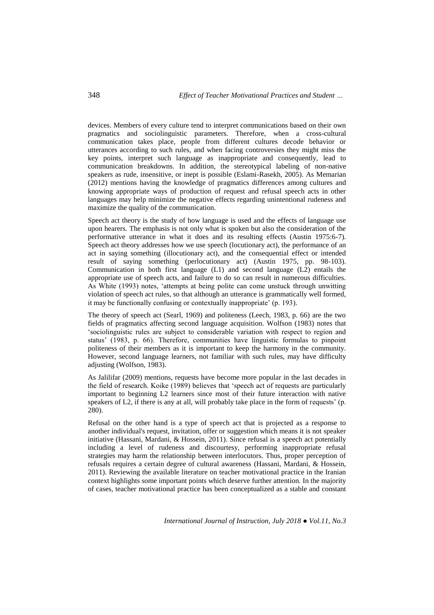devices. Members of every culture tend to interpret communications based on their own pragmatics and sociolinguistic parameters. Therefore, when a cross-cultural communication takes place, people from different cultures decode behavior or utterances according to such rules, and when facing controversies they might miss the key points, interpret such language as inappropriate and consequently, lead to communication breakdowns. In addition, the stereotypical labeling of non-native speakers as rude, insensitive, or inept is possible (Eslami-Rasekh, 2005). As Memarian (2012) mentions having the knowledge of pragmatics differences among cultures and knowing appropriate ways of production of request and refusal speech acts in other languages may help minimize the negative effects regarding unintentional rudeness and maximize the quality of the communication.

Speech act theory is the study of how language is used and the effects of language use upon hearers. The emphasis is not only what is spoken but also the consideration of the performative utterance in what it does and its resulting effects (Austin 1975:6-7). Speech act theory addresses how we use speech (locutionary act), the performance of an act in saying something (illocutionary act), and the consequential effect or intended result of saying something (perlocutionary act) (Austin 1975, pp. 98-103). Communication in both first language (L1) and second language (L2) entails the appropriate use of speech acts, and failure to do so can result in numerous difficulties. As White (1993) notes, 'attempts at being polite can come unstuck through unwitting violation of speech act rules, so that although an utterance is grammatically well formed, it may be functionally confusing or contextually inappropriate' (p. 193).

The theory of speech act (Searl, 1969) and politeness (Leech, 1983, p. 66) are the two fields of pragmatics affecting second language acquisition. Wolfson (1983) notes that 'sociolinguistic rules are subject to considerable variation with respect to region and status' (1983, p. 66). Therefore, communities have linguistic formulas to pinpoint politeness of their members as it is important to keep the harmony in the community. However, second language learners, not familiar with such rules, may have difficulty adjusting (Wolfson, 1983).

As Jalilifar (2009) mentions, requests have become more popular in the last decades in the field of research. Koike (1989) believes that 'speech act of requests are particularly important to beginning L2 learners since most of their future interaction with native speakers of L2, if there is any at all, will probably take place in the form of requests' (p. 280).

Refusal on the other hand is a type of speech act that is projected as a response to another individual's request, invitation, offer or suggestion which means it is not speaker initiative (Hassani, Mardani, & Hossein, 2011). Since refusal is a speech act potentially including a level of rudeness and discourtesy, performing inappropriate refusal strategies may harm the relationship between interlocutors. Thus, proper perception of refusals requires a certain degree of cultural awareness (Hassani, Mardani, & Hossein, 2011). Reviewing the available literature on teacher motivational practice in the Iranian context highlights some important points which deserve further attention. In the majority of cases, teacher motivational practice has been conceptualized as a stable and constant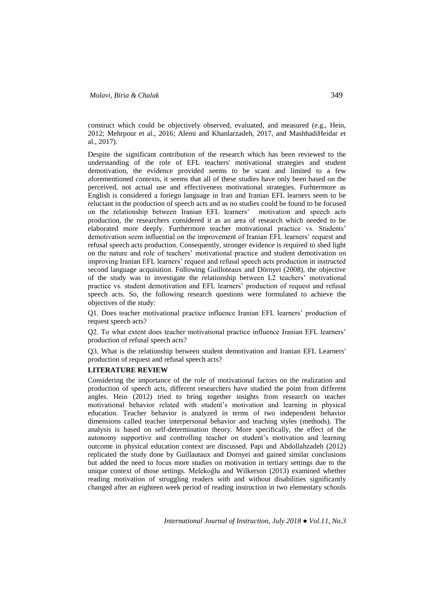construct which could be objectively observed, evaluated, and measured (e.g., Hein, 2012; Mehrpour et al., 2016; Alemi and Khanlarzadeh, 2017, and MashhadiHeidar et al., 2017).

Despite the significant contribution of the research which has been reviewed to the understanding of the role of EFL teachers' motivational strategies and student demotivation, the evidence provided seems to be scant and limited to a few aforementioned contexts, it seems that all of these studies have only been based on the perceived, not actual use and effectiveness motivational strategies. Furhtermore as English is considered a foriegn language in Iran and Iranian EFL learners seem to be reluctant in the production of speech acts and as no studies could be found to be focused on the relationship between Iranian EFL learners' motivation and speech acts production, the researchers considered it as an area of research which needed to be elaborated more deeply. Furthermore teacher motivational practice vs. Students' demotivation seem influential on the improvement of Iranian EFL learners' request and refusal speech acts production. Consequently, stronger evidence is required to shed light on the nature and role of teachers' motivational practice and student demotivation on improving Iranian EFL learners' request and refusal speech acts production in instructed second language acquisition. Following Guilloteaux and Dörnyei (2008), the objective of the study was to investigate the relationship between L2 teachers' motivational practice vs. student demotivation and EFL learners' production of request and refusal speech acts. So, the following research questions were formulated to achieve the objectives of the study:

Q1. Does teacher motivational practice influence Iranian EFL learners' production of request speech acts?

Q2. To what extent does teacher motivational practice influence Iranian EFL learners' production of refusal speech acts?

Q3. What is the relationship between student demotivation and Iranian EFL Learners production of request and refusal speech acts?

# **LITERATURE REVIEW**

Considering the importance of the role of motivational factors on the realization and production of speech acts, different researchers have studied the point from different angles. Hein (2012) tried to bring together insights from research on teacher motivational behavior related with student's motivation and learning in physical education. Teacher behavior is analyzed in terms of two independent behavior dimensions called teacher interpersonal behavior and teaching styles (methods). The analysis is based on self-determination theory. More specifically, the effect of the autonomy supportive and controlling teacher on student's motivation and learning outcome in physical education context are discussed. Papi and Abdollahzadeh (2012) replicated the study done by Guillautaux and Dornyei and gained similar conclusions but added the need to focus more studies on motivation in tertiary settings due to the unique context of those settings. Melekoğlu and Wilkerson (2013) examined whether reading motivation of struggling readers with and without disabilities significantly changed after an eighteen week period of reading instruction in two elementary schools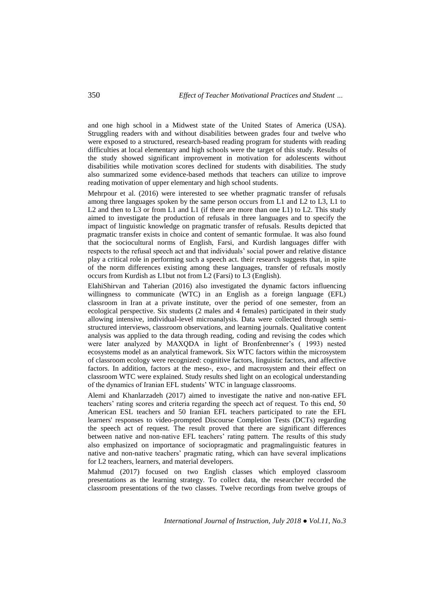and one high school in a Midwest state of the United States of America (USA). Struggling readers with and without disabilities between grades four and twelve who were exposed to a structured, research-based reading program for students with reading difficulties at local elementary and high schools were the target of this study. Results of the study showed significant improvement in motivation for adolescents without disabilities while motivation scores declined for students with disabilities. The study also summarized some evidence-based methods that teachers can utilize to improve reading motivation of upper elementary and high school students.

Mehrpour et al. (2016) were interested to see whether pragmatic transfer of refusals among three languages spoken by the same person occurs from L1 and L2 to L3, L1 to L2 and then to L3 or from L1 and L1 (if there are more than one L1) to L2. This study aimed to investigate the production of refusals in three languages and to specify the impact of linguistic knowledge on pragmatic transfer of refusals. Results depicted that pragmatic transfer exists in choice and content of semantic formulae. It was also found that the sociocultural norms of English, Farsi, and Kurdish languages differ with respects to the refusal speech act and that individuals' social power and relative distance play a critical role in performing such a speech act. their research suggests that, in spite of the norm differences existing among these languages, transfer of refusals mostly occurs from Kurdish as L1but not from L2 (Farsi) to L3 (English).

ElahiShirvan and Taherian (2016) also investigated the dynamic factors influencing willingness to communicate (WTC) in an English as a foreign language (EFL) classroom in Iran at a private institute, over the period of one semester, from an ecological perspective. Six students (2 males and 4 females) participated in their study allowing intensive, individual-level microanalysis. Data were collected through semistructured interviews, classroom observations, and learning journals. Qualitative content analysis was applied to the data through reading, coding and revising the codes which were later analyzed by MAXQDA in light of Bronfenbrenner's ( 1993) nested ecosystems model as an analytical framework. Six WTC factors within the microsystem of classroom ecology were recognized: cognitive factors, linguistic factors, and affective factors. In addition, factors at the meso-, exo-, and macrosystem and their effect on classroom WTC were explained. Study results shed light on an ecological understanding of the dynamics of Iranian EFL students' WTC in language classrooms.

Alemi and Khanlarzadeh (2017) aimed to investigate the native and non-native EFL teachers' rating scores and criteria regarding the speech act of request. To this end, 50 American ESL teachers and 50 Iranian EFL teachers participated to rate the EFL learners' responses to video-prompted Discourse Completion Tests (DCTs) regarding the speech act of request. The result proved that there are significant differences between native and non-native EFL teachers' rating pattern. The results of this study also emphasized on importance of sociopragmatic and pragmalinguistic features in native and non-native teachers' pragmatic rating, which can have several implications for L2 teachers, learners, and material developers.

Mahmud (2017) focused on two English classes which employed classroom presentations as the learning strategy. To collect data, the researcher recorded the classroom presentations of the two classes. Twelve recordings from twelve groups of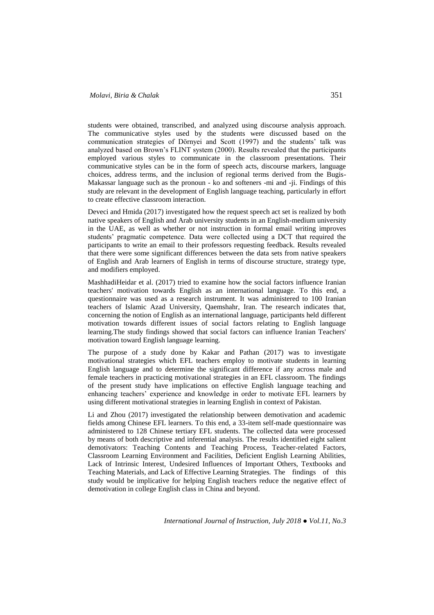students were obtained, transcribed, and analyzed using discourse analysis approach. The communicative styles used by the students were discussed based on the communication strategies of Dörnyei and Scott (1997) and the students' talk was analyzed based on Brown's FLINT system (2000). Results revealed that the participants employed various styles to communicate in the classroom presentations. Their communicative styles can be in the form of speech acts, discourse markers, language choices, address terms, and the inclusion of regional terms derived from the Bugis-Makassar language such as the pronoun - ko and softeners -mi and -ji. Findings of this study are relevant in the development of English language teaching, particularly in effort to create effective classroom interaction.

Deveci and Hmida (2017) investigated how the request speech act set is realized by both native speakers of English and Arab university students in an English-medium university in the UAE, as well as whether or not instruction in formal email writing improves students' pragmatic competence. Data were collected using a DCT that required the participants to write an email to their professors requesting feedback. Results revealed that there were some significant differences between the data sets from native speakers of English and Arab learners of English in terms of discourse structure, strategy type, and modifiers employed.

MashhadiHeidar et al. (2017) tried to examine how the social factors influence Iranian teachers' motivation towards English as an international language. To this end, a questionnaire was used as a research instrument. It was administered to 100 Iranian teachers of Islamic Azad University, Qaemshahr, Iran. The research indicates that, concerning the notion of English as an international language, participants held different motivation towards different issues of social factors relating to English language learning.The study findings showed that social factors can influence Iranian Teachers' motivation toward English language learning.

The purpose of a study done by Kakar and Pathan (2017) was to investigate motivational strategies which EFL teachers employ to motivate students in learning English language and to determine the significant difference if any across male and female teachers in practicing motivational strategies in an EFL classroom. The findings of the present study have implications on effective English language teaching and enhancing teachers' experience and knowledge in order to motivate EFL learners by using different motivational strategies in learning English in context of Pakistan.

Li and Zhou (2017) investigated the relationship between demotivation and academic fields among Chinese EFL learners. To this end, a 33-item self-made questionnaire was administered to 128 Chinese tertiary EFL students. The collected data were processed by means of both descriptive and inferential analysis. The results identified eight salient demotivators: Teaching Contents and Teaching Process, Teacher-related Factors, Classroom Learning Environment and Facilities, Deficient English Learning Abilities, Lack of Intrinsic Interest, Undesired Influences of Important Others, Textbooks and Teaching Materials, and Lack of Effective Learning Strategies. The findings of this study would be implicative for helping English teachers reduce the negative effect of demotivation in college English class in China and beyond.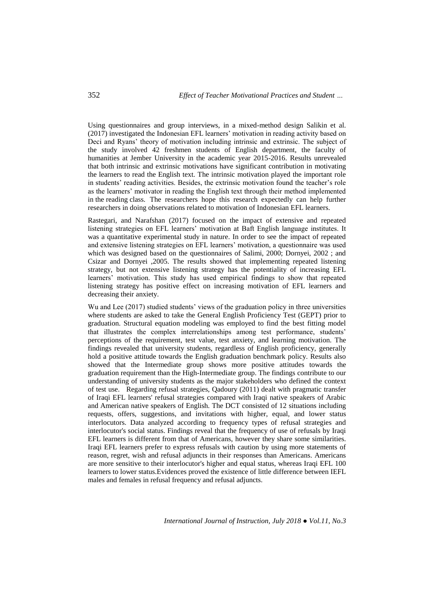Using questionnaires and group interviews, in a mixed-method design Salikin et al. (2017) investigated the Indonesian EFL learners' motivation in reading activity based on Deci and Ryans' theory of motivation including intrinsic and extrinsic. The subject of the study involved 42 freshmen students of English department, the faculty of humanities at Jember University in the academic year 2015-2016. Results unrevealed that both intrinsic and extrinsic motivations have significant contribution in motivating the learners to read the English text. The intrinsic motivation played the important role in students' reading activities. Besides, the extrinsic motivation found the teacher's role as the learners' motivator in reading the English text through their method implemented in the reading class. The researchers hope this research expectedly can help further researchers in doing observations related to motivation of Indonesian EFL learners.

Rastegari, and Narafshan (2017) focused on the impact of extensive and repeated listening strategies on EFL learners' motivation at Baft English language institutes. It was a quantitative experimental study in nature. In order to see the impact of repeated and extensive listening strategies on EFL learners' motivation, a questionnaire was used which was designed based on the questionnaires of Salimi, 2000; Dornyei, 2002 ; and Csizar and Dornyei ,2005. The results showed that implementing repeated listening strategy, but not extensive listening strategy has the potentiality of increasing EFL learners' motivation. This study has used empirical findings to show that repeated listening strategy has positive effect on increasing motivation of EFL learners and decreasing their anxiety.

Wu and Lee (2017) studied students' views of the graduation policy in three universities where students are asked to take the General English Proficiency Test (GEPT) prior to graduation. Structural equation modeling was employed to find the best fitting model that illustrates the complex interrelationships among test performance, students' perceptions of the requirement, test value, test anxiety, and learning motivation. The findings revealed that university students, regardless of English proficiency, generally hold a positive attitude towards the English graduation benchmark policy. Results also showed that the Intermediate group shows more positive attitudes towards the graduation requirement than the High-Intermediate group. The findings contribute to our understanding of university students as the major stakeholders who defined the context of test use. Regarding refusal strategies, Qadoury (2011) dealt with pragmatic transfer of Iraqi EFL learners' refusal strategies compared with Iraqi native speakers of Arabic and American native speakers of English. The DCT consisted of 12 situations including requests, offers, suggestions, and invitations with higher, equal, and lower status interlocutors. Data analyzed according to frequency types of refusal strategies and interlocutor's social status. Findings reveal that the frequency of use of refusals by Iraqi EFL learners is different from that of Americans, however they share some similarities. Iraqi EFL learners prefer to express refusals with caution by using more statements of reason, regret, wish and refusal adjuncts in their responses than Americans. Americans are more sensitive to their interlocutor's higher and equal status, whereas Iraqi EFL 100 learners to lower status.Evidences proved the existence of little difference between IEFL males and females in refusal frequency and refusal adjuncts.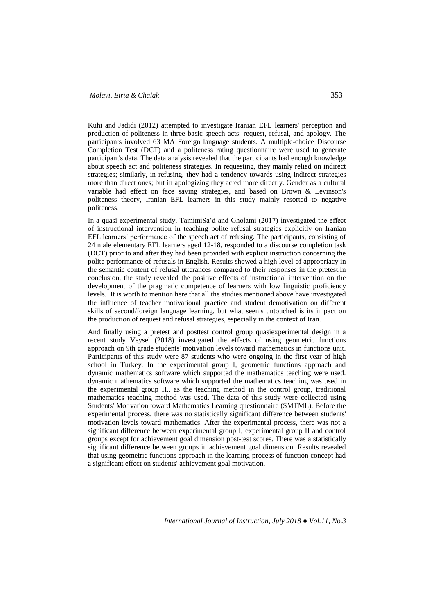Kuhi and Jadidi (2012) attempted to investigate Iranian EFL learners' perception and production of politeness in three basic speech acts: request, refusal, and apology. The participants involved 63 MA Foreign language students. A multiple-choice Discourse Completion Test (DCT) and a politeness rating questionnaire were used to generate participant's data. The data analysis revealed that the participants had enough knowledge about speech act and politeness strategies. In requesting, they mainly relied on indirect strategies; similarly, in refusing, they had a tendency towards using indirect strategies more than direct ones; but in apologizing they acted more directly. Gender as a cultural variable had effect on face saving strategies, and based on Brown & Levinson's politeness theory, Iranian EFL learners in this study mainly resorted to negative politeness.

In a quasi-experimental study, TamimiSa'd and Gholami (2017) investigated the effect of instructional intervention in teaching polite refusal strategies explicitly on Iranian EFL learners' performance of the speech act of refusing. The participants, consisting of 24 male elementary EFL learners aged 12-18, responded to a discourse completion task (DCT) prior to and after they had been provided with explicit instruction concerning the polite performance of refusals in English. Results showed a high level of appropriacy in the semantic content of refusal utterances compared to their responses in the pretest.In conclusion, the study revealed the positive effects of instructional intervention on the development of the pragmatic competence of learners with low linguistic proficiency levels. It is worth to mention here that all the studies mentioned above have investigated the influence of teacher motivational practice and student demotivation on different skills of second/foreign language learning, but what seems untouched is its impact on the production of request and refusal strategies, especially in the context of Iran.

And finally using a pretest and posttest control group quasiexperimental design in a recent study Veysel (2018) investigated the effects of using geometric functions approach on 9th grade students' motivation levels toward mathematics in functions unit. Participants of this study were 87 students who were ongoing in the first year of high school in Turkey. In the experimental group I, geometric functions approach and dynamic mathematics software which supported the mathematics teaching were used. dynamic mathematics software which supported the mathematics teaching was used in the experimental group II,. as the teaching method in the control group, traditional mathematics teaching method was used. The data of this study were collected using Students' Motivation toward Mathematics Learning questionnaire (SMTML). Before the experimental process, there was no statistically significant difference between students' motivation levels toward mathematics. After the experimental process, there was not a significant difference between experimental group I, experimental group II and control groups except for achievement goal dimension post-test scores. There was a statistically significant difference between groups in achievement goal dimension. Results revealed that using geometric functions approach in the learning process of function concept had a significant effect on students' achievement goal motivation.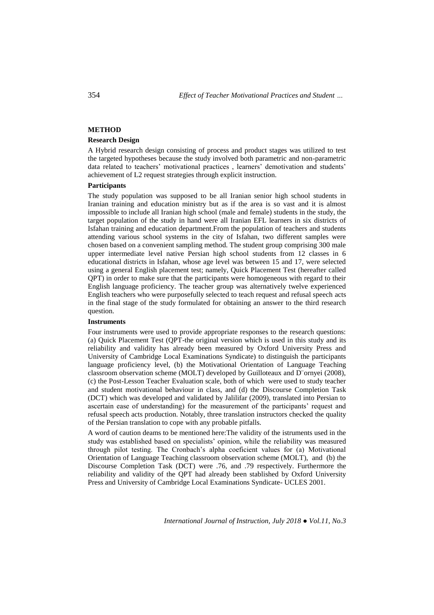### **METHOD**

# **Research Design**

A Hybrid research design consisting of process and product stages was utilized to test the targeted hypotheses because the study involved both parametric and non-parametric data related to teachers' motivational practices , learners' demotivation and students' achievement of L2 request strategies through explicit instruction.

## **Participants**

The study population was supposed to be all Iranian senior high school students in Iranian training and education ministry but as if the area is so vast and it is almost impossible to include all Iranian high school (male and female) students in the study, the target population of the study in hand were all Iranian EFL learners in six districts of Isfahan training and education department.From the population of teachers and students attending various school systems in the city of Isfahan, two different samples were chosen based on a convenient sampling method. The student group comprising 300 male upper intermediate level native Persian high school students from 12 classes in 6 educational districts in Isfahan, whose age level was between 15 and 17, were selected using a general English placement test; namely, Quick Placement Test (hereafter called QPT) in order to make sure that the participants were homogeneous with regard to their English language proficiency. The teacher group was alternatively twelve experienced English teachers who were purposefully selected to teach request and refusal speech acts in the final stage of the study formulated for obtaining an answer to the third research question.

### **Instruments**

Four instruments were used to provide appropriate responses to the research questions: (a) Quick Placement Test (QPT-the original version which is used in this study and its reliability and validity has already been measured by Oxford University Press and University of Cambridge Local Examinations Syndicate) to distinguish the participants language proficiency level, (b) the Motivational Orientation of Language Teaching classroom observation scheme (MOLT) developed by Guilloteaux and D¨ornyei (2008), (c) the Post-Lesson Teacher Evaluation scale, both of which were used to study teacher and student motivational behaviour in class, and (d) the Discourse Completion Task (DCT) which was developed and validated by Jalilifar (2009), translated into Persian to ascertain ease of understanding) for the measurement of the participants' request and refusal speech acts production. Notably, three translation instructors checked the quality of the Persian translation to cope with any probable pitfalls.

A word of caution deams to be mentioned here:The validity of the istruments used in the study was established based on specialists' opinion, while the reliability was measured through pilot testing. The Cronbach's alpha coeficient values for (a) Motivational Orientation of Language Teaching classroom observation scheme (MOLT), and (b) the Discourse Completion Task (DCT) were .76, and .79 respectively. Furthermore the reliability and validity of the QPT had already been stablished by Oxford University Press and University of Cambridge Local Examinations Syndicate- UCLES 2001.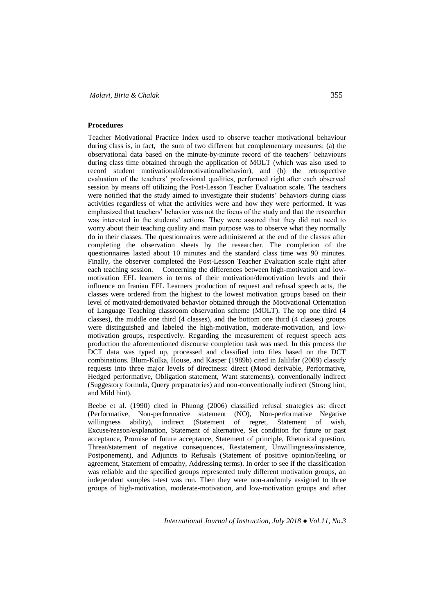## **Procedures**

Teacher Motivational Practice Index used to observe teacher motivational behaviour during class is, in fact, the sum of two different but complementary measures: (a) the observational data based on the minute-by-minute record of the teachers' behaviours during class time obtained through the application of MOLT (which was also used to record student motivational/demotivationalbehavior), and (b) the retrospective evaluation of the teachers' professional qualities, performed right after each observed session by means off utilizing the Post-Lesson Teacher Evaluation scale. The teachers were notified that the study aimed to investigate their students' behaviors during class activities regardless of what the activities were and how they were performed. It was emphasized that teachers' behavior was not the focus of the study and that the researcher was interested in the students' actions. They were assured that they did not need to worry about their teaching quality and main purpose was to observe what they normally do in their classes. The questionnaires were administered at the end of the classes after completing the observation sheets by the researcher. The completion of the questionnaires lasted about 10 minutes and the standard class time was 90 minutes. Finally, the observer completed the Post-Lesson Teacher Evaluation scale right after each teaching session. Concerning the differences between high-motivation and lowmotivation EFL learners in terms of their motivation/demotivation levels and their influence on Iranian EFL Learners production of request and refusal speech acts, the classes were ordered from the highest to the lowest motivation groups based on their level of motivated/demotivated behavior obtained through the Motivational Orientation of Language Teaching classroom observation scheme (MOLT). The top one third (4 classes), the middle one third (4 classes), and the bottom one third (4 classes) groups were distinguished and labeled the high-motivation, moderate-motivation, and lowmotivation groups, respectively. Regarding the measurement of request speech acts production the aforementioned discourse completion task was used. In this process the DCT data was typed up, processed and classified into files based on the DCT combinations. Blum-Kulka, House, and Kasper (1989b) cited in Jalilifar (2009) classify requests into three major levels of directness: direct (Mood derivable, Performative, Hedged performative, Obligation statement, Want statements), conventionally indirect (Suggestory formula, Query preparatories) and non-conventionally indirect (Strong hint, and Mild hint).

Beebe et al. (1990) cited in Phuong (2006) classified refusal strategies as: direct (Performative, Non-performative statement (NO), Non-performative Negative willingness ability), indirect (Statement of regret, Statement of wish, Excuse/reason/explanation, Statement of alternative, Set condition for future or past acceptance, Promise of future acceptance, Statement of principle, Rhetorical question, Threat/statement of negative consequences, Restatement, Unwillingness/insistence, Postponement), and Adjuncts to Refusals (Statement of positive opinion/feeling or agreement, Statement of empathy, Addressing terms). In order to see if the classification was reliable and the specified groups represented truly different motivation groups, an independent samples t-test was run. Then they were non-randomly assigned to three groups of high-motivation, moderate-motivation, and low-motivation groups and after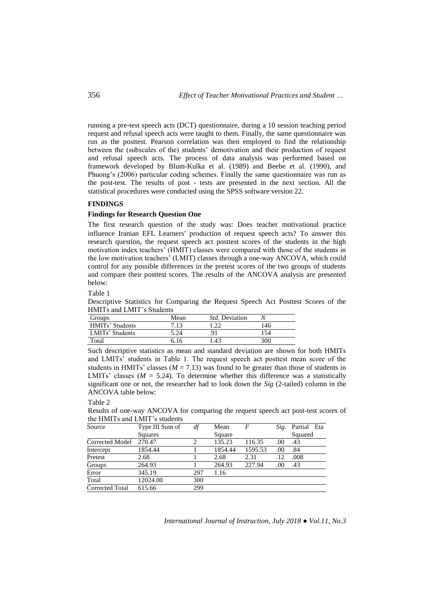running a pre-test speech acts (DCT) questionnaire, during a 10 session teaching period request and refusal speech acts were taught to them. Finally, the same questionnaire was run as the posttest. Pearson correlation was then employed to find the relationship between the (subscales of the) students' demotivation and their production of request and refusal speech acts. The process of data analysis was performed based on framework developed by Blum-Kulka et al. (1989) and Beebe et al. (1990), and Phuong's (2006) particular coding schemes. Finally the same questionnaire was run as the post-test. The results of post - tests are presented in the next section. All the statistical procedures were conducted using the SPSS software version 22.

# **FINDINGS**

# **Findings for Research Question One**

The first research question of the study was: Does teacher motivational practice influence Iranian EFL Learners' production of request speech acts? To answer this research question, the request speech act posttest scores of the students in the high motivation index teachers' (HMIT) classes were compared with those of the students in the low motivation teachers' (LMIT) classes through a one-way ANCOVA, which could control for any possible differences in the pretest scores of the two groups of students and compare their posttest scores. The results of the ANCOVA analysis are presented below:

Table 1

Descriptive Statistics for Comparing the Request Speech Act Posttest Scores of the HMITs and LMIT's Students

| Groups          | Mean | <i>Std.</i> Deviation |     |
|-----------------|------|-----------------------|-----|
| HMITs' Students | 7.13 | ຳາ                    | 146 |
| LMITs' Students | 5.24 |                       | 54  |
| Total           | 6.16 | .43                   | 300 |

Such descriptive statistics as mean and standard deviation are shown for both HMITs and LMITs' students in Table 1. The request speech act posttest mean score of the students in HMITs' classes ( $M = 7.13$ ) was found to be greater than those of students in LMITs' classes  $(M = 5.24)$ . To determine whether this difference was a statistically significant one or not, the researcher had to look down the *Sig* (2-tailed) column in the ANCOVA table below:

Table 2

Results of one-way ANCOVA for comparing the request speech act post-test scores of the HMITs and LMIT's students

| Source                 | Type III Sum of | df  | Mean    | F       | Sig. | Partial Eta |
|------------------------|-----------------|-----|---------|---------|------|-------------|
|                        | Squares         |     | Square  |         |      | Squared     |
| Corrected Model        | 270.47          | 2   | 135.23  | 116.35  | .00  | .43         |
| Intercept              | 1854.44         |     | 1854.44 | 1595.53 | .00  | .84         |
| Pretest                | 2.68            |     | 2.68    | 2.31    | .12  | .008        |
| Groups                 | 264.93          |     | 264.93  | 227.94  | .00  | .43         |
| Error                  | 345.19          | 297 | 1.16    |         |      |             |
| Total                  | 12024.00        | 300 |         |         |      |             |
| <b>Corrected Total</b> | 615.66          | 299 |         |         |      |             |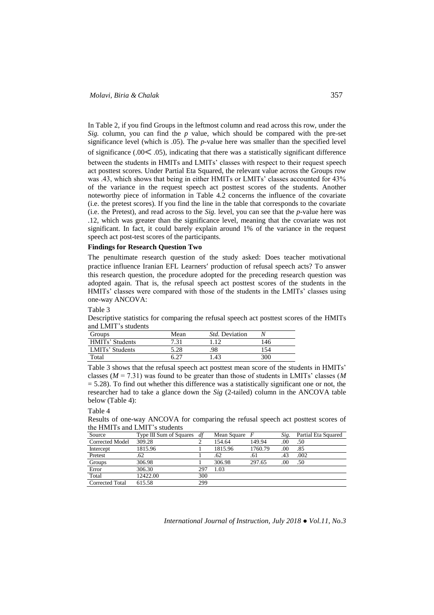In Table 2, if you find Groups in the leftmost column and read across this row, under the *Sig.* column, you can find the *p* value, which should be compared with the pre-set significance level (which is .05). The *p-*value here was smaller than the specified level of significance (.00 $\leq$  .05), indicating that there was a statistically significant difference between the students in HMITs and LMITs' classes with respect to their request speech act posttest scores. Under Partial Eta Squared, the relevant value across the Groups row was .43, which shows that being in either HMITs or LMITs' classes accounted for 43% of the variance in the request speech act posttest scores of the students. Another noteworthy piece of information in Table 4.2 concerns the influence of the covariate (i.e. the pretest scores). If you find the line in the table that corresponds to the covariate (i.e. the Pretest), and read across to the *Sig.* level, you can see that the *p-*value here was .12, which was greater than the significance level, meaning that the covariate was not significant. In fact, it could barely explain around 1% of the variance in the request speech act post-test scores of the participants.

#### **Findings for Research Question Two**

The penultimate research question of the study asked: Does teacher motivational practice influence Iranian EFL Learners' production of refusal speech acts? To answer this research question, the procedure adopted for the preceding research question was adopted again. That is, the refusal speech act posttest scores of the students in the HMITs' classes were compared with those of the students in the LMITs' classes using one-way ANCOVA:

Table 3

Descriptive statistics for comparing the refusal speech act posttest scores of the HMITs and LMIT's students

| Groups          | Mean | <i>Std.</i> Deviation |     |
|-----------------|------|-----------------------|-----|
| HMITs' Students | 7 31 |                       | 146 |
| LMITs' Students | 5.28 | 98                    | 54  |
| Total           |      | $\Delta$ 3            | 300 |

Table 3 shows that the refusal speech act posttest mean score of the students in HMITs' classes (*M* = 7.31) was found to be greater than those of students in LMITs' classes (*M*   $= 5.28$ ). To find out whether this difference was a statistically significant one or not, the researcher had to take a glance down the *Sig* (2-tailed) column in the ANCOVA table below (Table 4):

#### Table 4

Results of one-way ANCOVA for comparing the refusal speech act posttest scores of the HMITs and LMIT's students

| Source          | Type III Sum of Squares | df  | Mean Square $F$ |         | Sig. | Partial Eta Squared |
|-----------------|-------------------------|-----|-----------------|---------|------|---------------------|
| Corrected Model | 309.28                  |     | 154.64          | 149.94  | .00  | .50                 |
| Intercept       | 1815.96                 |     | 1815.96         | 1760.79 | .00  | .85                 |
| Pretest         | .62                     |     | .62             | .61     | .43  | .002                |
| Groups          | 306.98                  |     | 306.98          | 297.65  | .00  | .50                 |
| Error           | 306.30                  | 297 | 1.03            |         |      |                     |
| Total           | 12422.00                | 300 |                 |         |      |                     |
| Corrected Total | 615.58                  | 299 |                 |         |      |                     |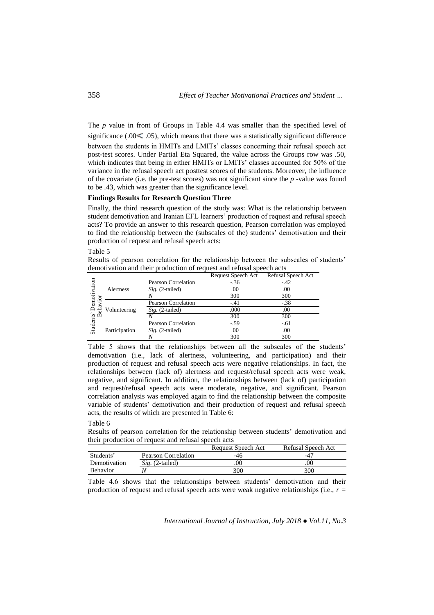The *p* value in front of Groups in Table 4.4 was smaller than the specified level of significance  $(.00<.05)$ , which means that there was a statistically significant difference between the students in HMITs and LMITs' classes concerning their refusal speech act post-test scores. Under Partial Eta Squared, the value across the Groups row was .50, which indicates that being in either HMITs or LMITs' classes accounted for 50% of the variance in the refusal speech act posttest scores of the students. Moreover, the influence of the covariate (i.e. the pre-test scores) was not significant since the *p* -value was found to be .43, which was greater than the significance level.

# **Findings Results for Research Question Three**

Finally, the third research question of the study was: What is the relationship between student demotivation and Iranian EFL learners' production of request and refusal speech acts? To provide an answer to this research question, Pearson correlation was employed to find the relationship between the (subscales of the) students' demotivation and their production of request and refusal speech acts:

Table 5

Results of pearson correlation for the relationship between the subscales of students' demotivation and their production of request and refusal speech acts

|                          |               |                            | Request Speech Act | Refusal Speech Act |
|--------------------------|---------------|----------------------------|--------------------|--------------------|
| ation                    |               | <b>Pearson Correlation</b> | $-.36$             | $-.42$             |
|                          | Alertness     | $Sig.$ (2-tailed)          | .00                | .00                |
|                          |               |                            | 300                | 300                |
| Demoti                   |               | <b>Pearson Correlation</b> | $-.41$             | $-.38$             |
| eha<br>₾<br>ents<br>Stud | Volunteering  | Sig. (2-tailed)            | .000               | .00                |
|                          |               |                            | 300                | 300                |
|                          | Participation | <b>Pearson Correlation</b> | $-.59$             | $-.61$             |
|                          |               | Sig. (2-tailed)            | .00                | .00                |
|                          |               |                            | 300                | 300                |

Table 5 shows that the relationships between all the subscales of the students' demotivation (i.e., lack of alertness, volunteering, and participation) and their production of request and refusal speech acts were negative relationships. In fact, the relationships between (lack of) alertness and request/refusal speech acts were weak, negative, and significant. In addition, the relationships between (lack of) participation and request/refusal speech acts were moderate, negative, and significant. Pearson correlation analysis was employed again to find the relationship between the composite variable of students' demotivation and their production of request and refusal speech acts, the results of which are presented in Table 6:

#### Table 6

Results of pearson correlation for the relationship between students' demotivation and their production of request and refusal speech acts

|                 |                        | <b>Request Speech Act</b> | Refusal Speech Act |
|-----------------|------------------------|---------------------------|--------------------|
| Students'       | Pearson Correlation    | -46                       | $-47$              |
| Demotivation    | <i>Sig.</i> (2-tailed) | .00                       | .00                |
| <b>Behavior</b> |                        | 300                       | 300                |

Table 4.6 shows that the relationships between students' demotivation and their production of request and refusal speech acts were weak negative relationships (i.e., *r =*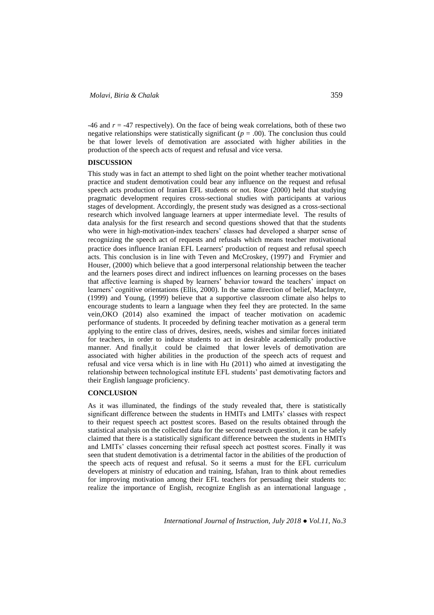$-46$  and  $r = -47$  respectively). On the face of being weak correlations, both of these two negative relationships were statistically significant ( $p = .00$ ). The conclusion thus could be that lower levels of demotivation are associated with higher abilities in the production of the speech acts of request and refusal and vice versa.

### **DISCUSSION**

This study was in fact an attempt to shed light on the point whether teacher motivational practice and student demotivation could bear any influence on the request and refusal speech acts production of Iranian EFL students or not. Rose (2000) held that studying pragmatic development requires cross-sectional studies with participants at various stages of development. Accordingly, the present study was designed as a cross-sectional research which involved language learners at upper intermediate level. The results of data analysis for the first research and second questions showed that that the students who were in high-motivation-index teachers' classes had developed a sharper sense of recognizing the speech act of requests and refusals which means teacher motivational practice does influence Iranian EFL Learners' production of request and refusal speech acts. This conclusion is in line with Teven and McCroskey, (1997) and Frymier and Houser, (2000) which believe that a good interpersonal relationship between the teacher and the learners poses direct and indirect influences on learning processes on the bases that affective learning is shaped by learners' behavior toward the teachers' impact on learners' cognitive orientations (Ellis, 2000). In the same direction of belief, MacIntyre, (1999) and Young, (1999) believe that a supportive classroom climate also helps to encourage students to learn a language when they feel they are protected. In the same vein,OKO (2014) also examined the impact of teacher motivation on academic performance of students. It proceeded by defining teacher motivation as a general term applying to the entire class of drives, desires, needs, wishes and similar forces initiated for teachers, in order to induce students to act in desirable academically productive manner. And finally,it could be claimed that lower levels of demotivation are associated with higher abilities in the production of the speech acts of request and refusal and vice versa which is in line with Hu (2011) who aimed at investigating the relationship between technological institute EFL students' past demotivating factors and their English language proficiency.

### **CONCLUSION**

As it was illuminated, the findings of the study revealed that, there is statistically significant difference between the students in HMITs and LMITs' classes with respect to their request speech act posttest scores. Based on the results obtained through the statistical analysis on the collected data for the second research question, it can be safely claimed that there is a statistically significant difference between the students in HMITs and LMITs' classes concerning their refusal speech act posttest scores. Finally it was seen that student demotivation is a detrimental factor in the abilities of the production of the speech acts of request and refusal. So it seems a must for the EFL curriculum developers at ministry of education and training, Isfahan, Iran to think about remedies for improving motivation among their EFL teachers for persuading their students to: realize the importance of English, recognize English as an international language ,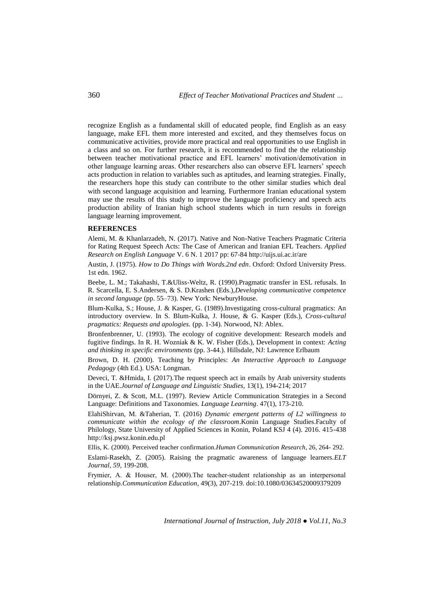recognize English as a fundamental skill of educated people, find English as an easy language, make EFL them more interested and excited, and they themselves focus on communicative activities, provide more practical and real opportunities to use English in a class and so on. For further research, it is recommended to find the the relationship between teacher motivational practice and EFL learners' motivation/demotivation in other language learning areas. Other researchers also can observe EFL learners' speech acts production in relation to variables such as aptitudes, and learning strategies. Finally, the researchers hope this study can contribute to the other similar studies which deal with second language acquisition and learning. Furthermore Iranian educational system may use the results of this study to improve the language proficiency and speech acts production ability of Iranian high school students which in turn results in foreign language learning improvement.

# **REFERENCES**

Alemi, M. & Khanlarzadeh, N. (2017). Native and Non-Native Teachers Pragmatic Criteria for Rating Request Speech Acts: The Case of American and Iranian EFL Teachers. *Applied Research on English Language* V. 6 N. 1 2017 pp: 67-84 http://uijs.ui.ac.ir/are

Austin, J. (1975). *How to Do Things with Words.2nd edn*. Oxford: Oxford University Press. 1st edn. 1962.

Beebe, L. M.; Takahashi, T.&Uliss-Weltz, R. (1990).Pragmatic transfer in ESL refusals. In R. Scarcella, E. S.Andersen, & S. D.Krashen (Eds.),*Developing communicative competence in second language* (pp. 55–73). New York: NewburyHouse.

Blum-Kulka, S.; House, J. & Kasper, G. (1989).Investigating cross-cultural pragmatics: An introductory overview. In S. Blum-Kulka, J. House, & G. Kasper (Eds.), *Cross-cultural pragmatics: Requests and apologies.* (pp. 1-34). Norwood, NJ: Ablex.

Bronfenbrenner, U. (1993). The ecology of cognitive development: Research models and fugitive findings. In R. H. Wozniak & K. W. Fisher (Eds.), Development in context: *Acting and thinking in specific environments* (pp. 3-44.). Hillsdale, NJ: Lawrence Erlbaum

Brown, D. H. (2000). Teaching by Principles: *An Interactive Approach to Language Pedagogy* (4th Ed.). USA: Longman.

Deveci, T. &Hmida, I. (2017).The request speech act in emails by Arab university students in the UAE.*Journal of Language and Linguistic Studies,* 13(1), 194-214; 2017

Dörnyei, Z. & Scott, M.L. (1997). Review Article Communication Strategies in a Second Language: Definitions and Taxonomies. *Language Learning*. 47(1), 173-210.

ElahiShirvan, M. &Taherian, T. (2016) *Dynamic emergent patterns of L2 willingness to communicate within the ecology of the classroom*.Konin Language Studies.Faculty of Philology, State University of Applied Sciences in Konin, Poland KSJ 4 (4). 2016. 415-438 [http://ksj.pwsz.konin.edu.pl](http://ksj.pwsz.konin.edu.pl/)

Ellis, K. (2000). Perceived teacher confirmation.*Human Communication Research*, 26, 264- 292.

Eslami-Rasekh, Z. (2005). Raising the pragmatic awareness of language learners.*ELT Journal, 59*, 199-208.

Frymier, A. & Houser, M. (2000).The teacher‐student relationship as an interpersonal relationship.*Communication Education*, 49(3), 207-219. doi:10.1080/03634520009379209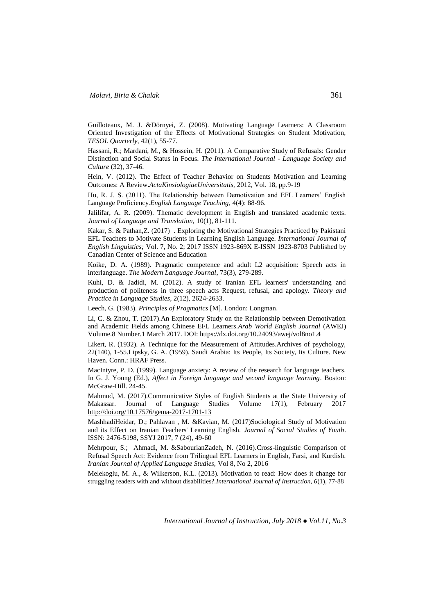Guilloteaux, M. J. &Dörnyei, Z. (2008). Motivating Language Learners: A Classroom Oriented Investigation of the Effects of Motivational Strategies on Student Motivation, *TESOL Quarterly*, 42(1), 55-77.

Hassani, R.; Mardani, M., & Hossein, H. (2011). A Comparative Study of Refusals: Gender Distinction and Social Status in Focus. *The International Journal - Language Society and Culture* (32), 37-46.

Hein, V. (2012). The Effect of Teacher Behavior on Students Motivation and Learning Outcomes: A Review**.***ActaKinsiologiaeUniversitatis,* 2012, Vol. 18, pp.9-19

Hu, R. J. S. (2011). The Relationship between Demotivation and EFL Learners' English Language Proficiency.*English Language Teaching*, 4(4): 88-96.

Jalilifar, A. R. (2009). Thematic development in English and translated academic texts. *Journal of Language and Translation,* 10(1), 81-111.

Kakar, S. & Pathan,Z. (2017) . Exploring the Motivational Strategies Practiced by Pakistani EFL Teachers to Motivate Students in Learning English Language. *International Journal of English Linguistics;* Vol. 7, No. 2; 2017 ISSN 1923-869X E-ISSN 1923-8703 Published by Canadian Center of Science and Education

Koike, D. A. (1989). Pragmatic competence and adult L2 acquisition: Speech acts in interlanguage. *The Modern Language Journal*, 73(3), 279-289.

Kuhi, D. & Jadidi, M. (2012). A study of Iranian EFL learners' understanding and production of politeness in three speech acts Request, refusal, and apology. *Theory and Practice in Language Studies,* 2(12), 2624-2633.

Leech, G. (1983). *Principles of Pragmatics* [M]. London: Longman.

Li, C. & Zhou, T. (2017).An Exploratory Study on the Relationship between Demotivation and Academic Fields among Chinese EFL Learners.*Arab World English Journal* (AWEJ) Volume.8 Number.1 March 2017. DOI: https://dx.doi.org/10.24093/awej/vol8no1.4

Likert, R. (1932). A Technique for the Measurement of Attitudes.Archives of psychology, 22(140), 1-55.Lipsky, G. A. (1959). Saudi Arabia: Its People, Its Society, Its Culture. New Haven. Conn.: HRAF Press.

MacIntyre, P. D. (1999). Language anxiety: A review of the research for language teachers. In G. J. Young (Ed.), *Affect in Foreign language and second language learning*. Boston: McGraw-Hill. 24-45.

Mahmud, M. (2017).Communicative Styles of English Students at the State University of Makassar. Journal of Language Studies Volume 17(1), February 2017 <http://doi.org/10.17576/gema-2017-1701-13>

MashhadiHeidar, D.; Pahlavan , M. &Kavian, M. (2017)Sociological Study of Motivation and its Effect on Iranian Teachers' Learning English. *Journal of Social Studies of Youth*. ISSN: 2476-5198, SSYJ 2017, 7 (24), 49-60

Mehrpour, S.; Ahmadi, M. &SabourianZadeh, N. (2016)*.*Cross-linguistic Comparison of Refusal Speech Act: Evidence from Trilingual EFL Learners in English, Farsi, and Kurdish. *Iranian Journal of Applied Language Studies,* Vol 8, No 2, 2016

Melekoglu, M. A., & Wilkerson, K.L. (2013). Motivation to read: How does it change for struggling readers with and without disabilities?.*International Journal of Instruction, 6*(1), 77-88